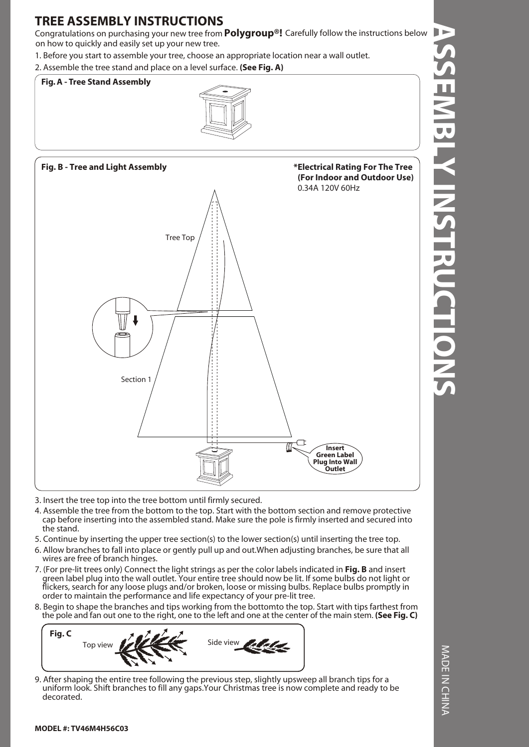# **TREE ASSEMBLY INSTRUCTIONS**

Congratulations on purchasing your new tree from **Polygroup®!** Carefully follow the instructions below on how to quickly and easily set up your new tree.

1. Before you start to assemble your tree, choose an appropriate location near a wall outlet.

2. Assemble the tree stand and place on a level surface. **(See Fig. A)**





**ASSEMBLY INSTRUCTIONS MBLY INSTRUCTIONS** 

- 3. Insert the tree top into the tree bottom until firmly secured.
- 4. Assemble the tree from the bottom to the top. Start with the bottom section and remove protective cap before inserting into the assembled stand. Make sure the pole is firmly inserted and secured into the stand.
- 5. Continue by inserting the upper tree section(s) to the lower section(s) until inserting the tree top.
- 6. Allow branches to fall into place or gently pull up and out.When adjusting branches, be sure that all wires are free of branch hinges.
- 7. (For pre-lit trees only) Connect the light strings as per the color labels indicated in **Fig. B** and insert green label plug into the wall outlet. Your entire tree should now be lit. If some bulbs do not light or flickers, search for any loose plugs and/or broken, loose or missing bulbs. Replace bulbs promptly in order to maintain the performance and life expectancy of your pre-lit tree.
- 8. Begin to shape the branches and tips working from the bottomto the top. Start with tips farthest from the pole and fan out one to the right, one to the left and one at the center of the main stem. **(See Fig. C)**



9. After shaping the entire tree following the previous step, slightly upsweep all branch tips for a uniform look. Shift branches to fill any gaps.Your Christmas tree is now complete and ready to be decorated.